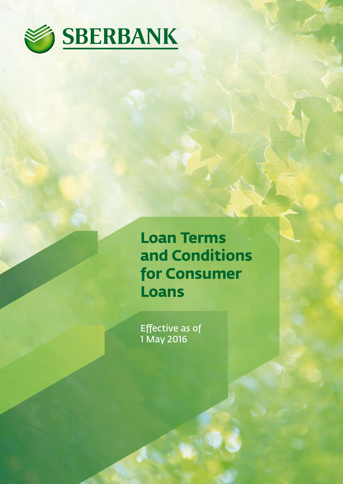

**Loan Terms and Conditions for Consumer Loans**

Effective as of 1 May 2016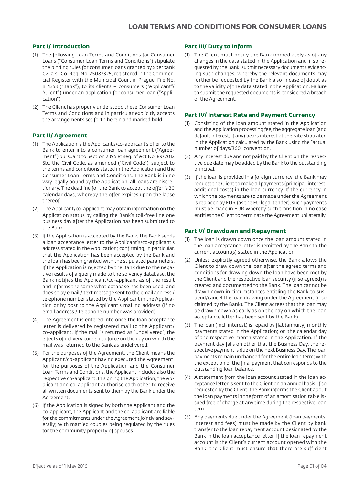### **Part I/ Introduction**

- (1) The following Loan Terms and Conditions for Consumer Loans ("Consumer Loan Terms and Conditions") stipulate the binding rules for consumer loans granted by Sberbank CZ, a.s., Co. Reg. No. 25083325, registered in the Commercial Register with the Municipal Court in Prague, File No. B 4353 ("Bank"), to its clients – consumers ("Applicant"/ "Client") under an application for consumer loan ("Application").
- (2) The Client has properly understood these Consumer Loan Terms and Conditions and in particular explicitly accepts the arrangements set forth herein and marked **bold**.

### **Part II/ Agreement**

- (1) The Application is the Applicant's/co-applicant's offer to the Bank to enter into a consumer loan agreement ("Agreement") pursuant to Section 2395 et seq. of Act No. 89/2012 Sb., the Civil Code, as amended ("Civil Code"), subject to the terms and conditions stated in the Application and the Consumer Loan Terms and Conditions. The Bank is in no way legally bound by the Application; all loans are discretionary. The deadline for the Bank to accept the offer is 30 calendar days, whereby the offer expires upon the lapse thereof.
- (2) The Applicant/co-applicant may obtain information on the Application status by calling the Bank's toll-free line one business day after the Application has been submitted to the Bank.
- (3) If the Application is accepted by the Bank, the Bank sends a loan acceptance letter to the Applicant's/co-applicant's address stated in the Application; confirming, in particular, that the Application has been accepted by the Bank and the loan has been granted with the stipulated parameters. If the Application is rejected by the Bank due to the negative results of a query made to the solvency database, the Bank notifies the Applicant/co-applicant as of the result and informs the same what database has been used; and does so by email / text message sent to the email address / telephone number stated by the Applicant in the Application or by post to the Applicant's mailing address (if no email address / telephone number was provided).
- (4) The Agreement is entered into once the loan acceptance letter is delivered by registered mail to the Applicant/ co-applicant. If the mail is returned as "undelivered", the effects of delivery come into force on the day on which the mail was returned to the Bank as undelivered.
- (5) For the purposes of the Agreement, the Client means the Applicant/co-applicant having executed the Agreement; for the purposes of the Application and the Consumer Loan Terms and Conditions, the Applicant includes also the respective co-applicant. In signing the Application, the Applicant and co-applicant authorise each other to receive all written documents sent to them by the Bank under the Agreement.
- (6) If the Application is signed by both the Applicant and the co-applicant, the Applicant and the co-applicant are liable for the commitments under the Agreement jointly and severally; with married couples being regulated by the rules for the community property of spouses.

#### **Part III/ Duty to Inform**

(1) The Client must notify the Bank immediately as of any changes in the data stated in the Application and, if so requested by the Bank, submit necessary documents evidencing such changes; whereby the relevant documents may further be requested by the Bank also in case of doubt as to the validity of the data stated in the Application. Failure to submit the requested documents is considered a breach of the Agreement.

### **Part IV/ Interest Rate and Payment Currency**

- (1) Consisting of the loan amount stated in the Application and the Application processing fee, the aggregate loan (and default interest, if any) bears interest at the rate stipulated in the Application calculated by the Bank using the "actual number of days/360" convention.
- (2) Any interest due and not paid by the Client on the respective due date may be added by the Bank to the outstanding principal.
- (3) If the loan is provided in a foreign currency, the Bank may request the Client to make all payments (principal, interest, additional costs) in the loan currency. If the currency in which the payments are to be made under the Agreement is replaced by EUR (as the EU legal tender), such payments must be made in EUR whereby such transition in no case entitles the Client to terminate the Agreement unilaterally.

### **Part V/ Drawdown and Repayment**

- (1) The loan is drawn down once the loan amount stated in the loan acceptance letter is remitted by the Bank to the current account(s) stated in the Application.
- (2) Unless explicitly agreed otherwise, the Bank allows the Client to draw down the loan after the agreed terms and conditions for drawing down the loan have been met by the Client and the respective loan security (if so agreed) is created and documented to the Bank. The loan cannot be drawn down in circumstances entitling the Bank to suspend/cancel the loan drawing under the Agreement (if so claimed by the Bank). The Client agrees that the loan may be drawn down as early as on the day on which the loan acceptance letter has been sent by the Bank).
- (3) The loan (incl. interest) is repaid by flat (annuity) monthly payments stated in the Application; on the calendar day of the respective month stated in the Application. If the payment day falls on other that the Business Day, the respective payment is due on the next Business Day. The loan payments remain unchanged for the entire loan term; with the exception of the final payment that corresponds to the outstanding loan balance.
- (4) A statement from the loan account stated in the loan acceptance letter is sent to the Client on an annual basis. If so requested by the Client, the Bank informs the Client about the loan payments in the form of an amortisation table issued free of charge at any time during the respective loan term.
- (5) Any payments due under the Agreement (loan payments, interest and fees) must be made by the Client by bank transfer to the loan repayment account designated by the Bank in the loan acceptance letter. If the loan repayment account is the Client's current account opened with the Bank, the Client must ensure that there are sufficient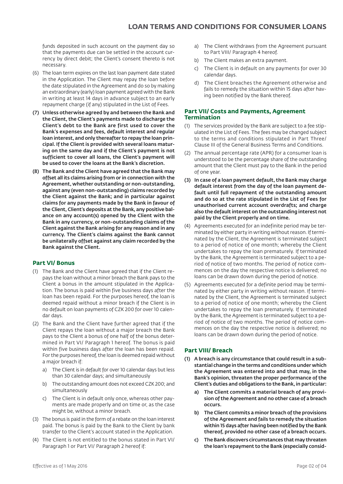funds deposited in such account on the payment day so that the payments due can be settled in the account currency by direct debit; the Client's consent thereto is not necessary.

- (6) The loan term expires on the last loan payment date stated in the Application. The Client may repay the loan before the date stipulated in the Agreement and do so by making an extraordinary (early) loan payment agreed with the Bank in writing at least 14 days in advance subject to an early repayment charge (if any) stipulated in the List of Fees.
- (7) Unless otherwise agreed by and between the Bank and the Client, the Client's payments made to discharge the Client's debt to the Bank are first used to cover the Bank's expenses and fees, default interest and regular loan interest, and only thereafter to repay the loan principal. If the Client is provided with several loans maturing on the same day and if the Client's payment is not sufficient to cover all loans, the Client's payment will be used to cover the loans at the Bank's discretion.
- (8) The Bank and the Client have agreed that the Bank may offset all its claims arising from or in connection with the Agreement, whether outstanding or non-outstanding, against any (even non-outstanding) claims recorded by the Client against the Bank; and in particular against claims for any payments made by the Bank in favour of the Client, Client's deposits at the Bank, any positive balance on any account(s) opened by the Client with the Bank in any currency, or non-outstanding claims of the Client against the Bank arising for any reason and in any currency. The Client's claims against the Bank cannot be unilaterally offset against any claim recorded by the Bank against the Client.

# **Part VI/ Bonus**

- (1) The Bank and the Client have agreed that if the Client repays the loan without a minor breach the Bank pays to the Client a bonus in the amount stipulated in the Application. The bonus is paid within five business days after the loan has been repaid. For the purposes hereof, the loan is deemed repaid without a minor breach if the Client is in no default on loan payments of CZK 200 for over 10 calendar days.
- (2) The Bank and the Client have further agreed that if the Client repays the loan without a major breach the Bank pays to the Client a bonus of one half of the bonus determined in Part VI/ Paragraph 1 hereof. The bonus is paid within five business days after the loan has been repaid. For the purposes hereof, the loan is deemed repaid without a major breach if:
	- a) The Client is in default for over 10 calendar days but less than 30 calendar days; and simultaneously
	- b) The outstanding amount does not exceed CZK 200; and simultaneously
	- c) The Client is in default only once, whereas other payments are made properly and on time or, as the case might be, without a minor breach.
- (3) The bonus is paid in the form of a rebate on the loan interest paid. The bonus is paid by the Bank to the Client by bank transfer to the Client's account stated in the Application.
- (4) The Client is not entitled to the bonus stated in Part VI/ Paragraph 1 or Part VI/ Paragraph 2 hereof if:
- a) The Client withdraws from the Agreement pursuant to Part VIII/ Paragraph 4 hereof.
- b) The Client makes an extra payment.
- c) The Client is in default on any payments for over 30 calendar days.
- d) The Client breaches the Agreement otherwise and fails to remedy the situation within 15 days after having been notified by the Bank thereof.

### **Part VII/ Costs and Payments, Agreement Termination**

- (1) The services provided by the Bank are subject to a fee stipulated in the List of Fees. The fees may be changed subject to the terms and conditions stipulated in Part Three/ Clause III of the General Business Terms and Conditions.
- (2) The annual percentage rate (APR) for a consumer loan is understood to be the percentage share of the outstanding amount that the Client must pay to the Bank in the period of one year.
- (3) In case of a loan payment default, the Bank may charge default interest from the day of the loan payment default until full repayment of the outstanding amount and do so at the rate stipulated in the List of Fees for unauthorised current account overdrafts; and charge also the default interest on the outstanding interest not paid by the Client properly and on time.
- (4) Agreements executed for an indefinite period may be terminated by either party in writing without reason. If terminated by the Client, the Agreement is terminated subject to a period of notice of one month; whereby the Client undertakes to repay the loan prematurely. If terminated by the Bank, the Agreement is terminated subject to a period of notice of two months. The period of notice commences on the day the respective notice is delivered; no loans can be drawn down during the period of notice.
- (5) Agreements executed for a definite period may be terminated by either party in writing without reason. If terminated by the Client, the Agreement is terminated subject to a period of notice of one month; whereby the Client undertakes to repay the loan prematurely. If terminated by the Bank, the Agreement is terminated subject to a period of notice of two months. The period of notice commences on the day the respective notice is delivered; no loans can be drawn down during the period of notice.

# **Part VIII/ Breach**

- (1) A breach is any circumstance that could result in a substantial change in the terms and conditions under which the Agreement was entered into and that may, in the Bank's opinion, threaten the proper performance of the Client's duties and obligations to the Bank, in particular:
	- a) The Client commits a material breach of any provision of the Agreement and no other case of a breach occurs.
	- b) The Client commits a minor breach of the provisions of the Agreement and fails to remedy the situation within 15 days after having been notified by the Bank thereof, provided no other case of a breach occurs.
	- c) The Bank discovers circumstances that may threaten the loan's repayment to the Bank (especially consid-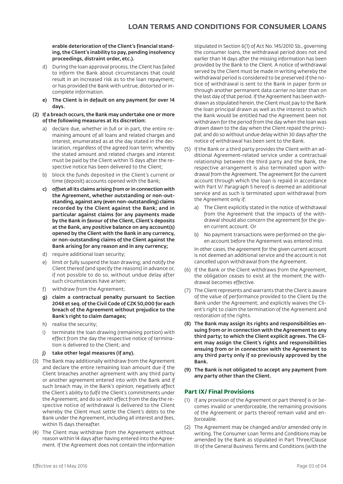#### erable deterioration of the Client's financial standing, the Client's inability to pay, pending insolvency proceedings, distraint order, etc.).

- d) During the loan approval process, the Client has failed to inform the Bank about circumstances that could result in an increased risk as to the loan repayment; or has provided the Bank with untrue, distorted or incomplete information.
- e) The Client is in default on any payment for over 14 days.
- (2) If a breach occurs, the Bank may undertake one or more of the following measures at its discretion:
	- a) declare due, whether in full or in part, the entire remaining amount of all loans and related charges and interest, enumerated as at the day stated in the declaration, regardless of the agreed loan term; whereby the stated amount and related charges and interest must be paid by the Client within 15 days after the respective notice has been delivered to the Client;
	- b) block the funds deposited in the Client's current or time (deposit) accounts opened with the Bank;
	- c) offset all its claims arising from or in connection with the Agreement, whether outstanding or non-outstanding, against any (even non-outstanding) claims recorded by the Client against the Bank; and in particular against claims for any payments made by the Bank in favour of the Client, Client's deposits at the Bank, any positive balance on any account(s) opened by the Client with the Bank in any currency, or non-outstanding claims of the Client against the Bank arising for any reason and in any currency;
	- d) require additional loan security;
	- e) limit or fully suspend the loan drawing; and notify the Client thereof (and specify the reasons) in advance or, if not possible to do so, without undue delay after such circumstances have arisen;
	- f) withdraw from the Agreement;
	- g) claim a contractual penalty pursuant to Section 2048 et seq. of the Civil Code of CZK 50,000 for each breach of the Agreement without prejudice to the Bank's right to claim damages;
	- h) realise the security;
	- i) terminate the loan drawing (remaining portion) with effect from the day the respective notice of termination is delivered to the Client; and
	- j) take other legal measures (if any).
- (3) The Bank may additionally withdraw from the Agreement and declare the entire remaining loan amount due if the Client breaches another agreement with any third party or another agreement entered into with the Bank and if such breach may, in the Bank's opinion, negatively affect the Client's ability to fulfil the Client's commitments under the Agreement; and do so with effect from the day the respective notice of withdrawal is delivered to the Client whereby the Client must settle the Client's debts to the Bank under the Agreement, including all interest and fees, within 15 days thereafter.
- (4) The Client may withdraw from the Agreement without reason within 14 days after having entered into the Agreement. If the Agreement does not contain the information

stipulated in Section 6(1) of Act No. 145/2010 Sb., governing the consumer loans, the withdrawal period does not end earlier than 14 days after the missing information has been provided by the Bank to the Client. A notice of withdrawal served by the Client must be made in writing whereby the withdrawal period is considered to be preserved if the notice of withdrawal is sent to the Bank in paper form or through another permanent data carrier no later than on the last day of that period. If the Agreement has been withdrawn as stipulated herein, the Client must pay to the Bank the loan principal drawn as well as the interest to which the Bank would be entitled had the Agreement been not withdrawn for the period from the day when the loan was drawn dawn to the day when the Client repaid the principal; and do so without undue delay within 30 days after the notice of withdrawal has been sent to the Bank.

- (5) If the Bank or a third party provides the Client with an additional Agreement-related service under a contractual relationship between the third party and the Bank, the respective arrangement is also terminated upon withdrawal from the Agreement. The agreement for the current account through which the loan is repaid in accordance with Part V/ Paragraph 5 hereof is deemed an additional service and as such is terminated upon withdrawal from the Agreement only if:
	- The Client explicitly stated in the notice of withdrawal from the Agreement that the impacts of the withdrawal should also concern the agreement for the given current account. Or
	- b) No payment transactions were performed on the given account before the Agreement was entered into.

In other cases, the agreement for the given current account is not deemed an additional service and the account is not cancelled upon withdrawal from the Agreement.

- (6) If the Bank or the Client withdraws from the Agreement, the obligation ceases to exist at the moment the withdrawal becomes effective.
- (7) The Client represents and warrants that the Client is aware of the value of performance provided to the Client by the Bank under the Agreement; and explicitly waives the Client's right to claim the termination of the Agreement and restoration of the rights.
- (8) The Bank may assign its rights and responsibilities ensuing from or in connection with the Agreement to any third party; to which the Client explicit agrees. The Client may assign the Client's rights and responsibilities ensuing from or in connection with the Agreement to any third party only if so previously approved by the Bank.
- (9) The Bank is not obligated to accept any payment from any party other than the Client.

### **Part IX/ Final Provisions**

- (1) If any provision of the Agreement or part thereof is or becomes invalid or unenforceable, the remaining provisions of the Agreement or parts thereof remain valid and enforceable.
- (2) The Agreement may be changed and/or amended only in writing. The Consumer Loan Terms and Conditions may be amended by the Bank as stipulated in Part Three/Clause III of the General Business Terms and Conditions (with the